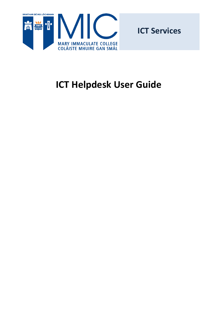

**ICT Services**

# <span id="page-0-0"></span>**ICT Helpdesk User Guide**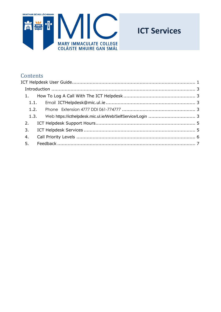

## **ICT Services**

## Contents

| 1. |  |
|----|--|
|    |  |
|    |  |
|    |  |
| 2. |  |
| 3. |  |
| 4. |  |
|    |  |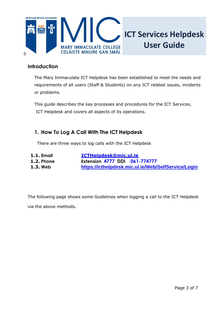

#### <span id="page-2-0"></span>**Introduction**

The Mary Immaculate ICT Helpdesk has been established to meet the needs and requirements of all users (Staff & Students) on any ICT related issues, incidents or problems.

This guide describes the key processes and procedures for the ICT Services, ICT Helpdesk and covers all aspects of its operations.

### <span id="page-2-1"></span>**1. How To Log A Call With The ICT Helpdesk**

There are three ways to log calls with the ICT Helpdesk

- <span id="page-2-2"></span>**1.1. Email [ICTHelpdesk@mic.ul.ie](mailto:ICTHelpdesk@mic.ul.ie)**
- <span id="page-2-3"></span>
- <span id="page-2-4"></span>
- **1.2. Phone Extension 4777 DDI 061-774777 1.3. Web <https://icthelpdesk.mic.ul.ie/Web/SelfService/Login>**

The following page shows some Guidelines when logging a call to the ICT Helpdesk via the above methods.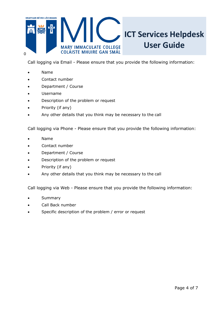

Call logging via Email - Please ensure that you provide the following information:

- Name
- Contact number
- Department / Course
- Username
- Description of the problem or request
- Priority (if any)
- Any other details that you think may be necessary to the call

Call logging via Phone - Please ensure that you provide the following information:

- Name
- Contact number
- Department / Course
- Description of the problem or request
- Priority (if any)
- Any other details that you think may be necessary to the call

Call logging via Web - Please ensure that you provide the following information:

- **Summary**
- Call Back number
- Specific description of the problem / error or request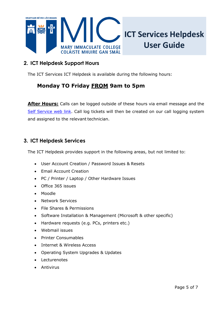

## <span id="page-4-0"></span>**2. ICT Helpdesk Support Hours**

The ICT Services ICT Helpdesk is available during the following hours:

## **Monday TO Friday FROM 9am to 5pm**

**After Hours:** Calls can be logged outside of these hours via email message and the [Self Service web link.](https://icthelpdesk.mic.ul.ie/Web/SelfService/Login) Call log tickets will then be created on our call logging system and assigned to the relevant technician.

## <span id="page-4-1"></span>**3. ICT Helpdesk Services**

The ICT Helpdesk provides support in the following areas, but not limited to:

- User Account Creation / Password Issues & Resets
- Email Account Creation
- PC / Printer / Laptop / Other Hardware Issues
- Office 365 issues
- Moodle
- Network Services
- File Shares & Permissions
- Software Installation & Management (Microsoft & other specific)
- Hardware requests (e.g. PCs, printers etc.)
- Webmail issues
- Printer Consumables
- Internet & Wireless Access
- Operating System Upgrades & Updates
- Lecturenotes
- **Antivirus**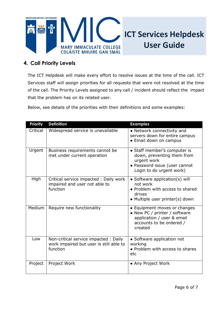

## **ICT Services Helpdesk User Guide**

## <span id="page-5-0"></span>**4. Call Priority Levels**

The ICT Helpdesk will make every effort to resolve issues at the time of the call. ICT Services staff will assign priorities for all requests that were not resolved at the time of the call. The Priority Levels assigned to any call / incident should reflect the impact that the problem has on its related user.

Below, see details of the priorities with their definitions and some examples:

| <b>Priority</b> | <b>Definition</b>                                                                           | <b>Examples</b>                                                                                                                        |
|-----------------|---------------------------------------------------------------------------------------------|----------------------------------------------------------------------------------------------------------------------------------------|
| Critical        | Widespread service is unavailable                                                           | • Network connectivity and<br>servers down for entire campus<br>• Email down on campus                                                 |
| Urgent          | Business requirements cannot be<br>met under current operation                              | • Staff member's computer is<br>down, preventing them from<br>urgent work<br>• Password issue (user cannot<br>Login to do urgent work) |
| High            | Critical service impacted : Daily work<br>impaired and user not able to<br>function         | • Software application(s) will<br>not work<br>• Problem with access to shared<br>drives<br>• Multiple user printer(s) down             |
| Medium          | Require new functionality                                                                   | • Equipment moves or changes<br>• New PC / printer / software<br>application / user & email<br>accounts to be ordered /<br>created     |
| Low             | Non-critical service impacted: Daily<br>work impaired but user is still able to<br>function | • Software application not<br>working<br>• Problem with access to shares<br>etc                                                        |
| Project         | Project Work                                                                                | • Any Project Work                                                                                                                     |